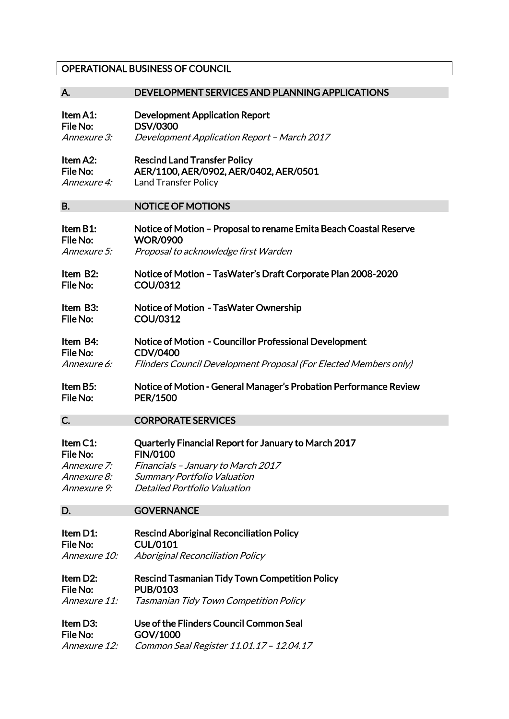## OPERATIONAL BUSINESS OF COUNCIL

| Α.                 | DEVELOPMENT SERVICES AND PLANNING APPLICATIONS                    |
|--------------------|-------------------------------------------------------------------|
| Item A1:           | <b>Development Application Report</b>                             |
| File No:           | <b>DSV/0300</b>                                                   |
| Annexure 3:        | Development Application Report - March 2017                       |
| Item A2:           | <b>Rescind Land Transfer Policy</b>                               |
| File No:           | AER/1100, AER/0902, AER/0402, AER/0501                            |
| Annexure 4:        | <b>Land Transfer Policy</b>                                       |
| <b>B.</b>          | <b>NOTICE OF MOTIONS</b>                                          |
| Item B1:           | Notice of Motion - Proposal to rename Emita Beach Coastal Reserve |
| File No:           | <b>WOR/0900</b>                                                   |
| Annexure 5:        | Proposal to acknowledge first Warden                              |
| Item B2:           | Notice of Motion - TasWater's Draft Corporate Plan 2008-2020      |
| File No:           | <b>COU/0312</b>                                                   |
| Item B3:           | Notice of Motion - TasWater Ownership                             |
| File No:           | <b>COU/0312</b>                                                   |
| Item B4:           | Notice of Motion - Councillor Professional Development            |
| File No:           | <b>CDV/0400</b>                                                   |
| Annexure 6:        | Flinders Council Development Proposal (For Elected Members only)  |
| Item B5:           | Notice of Motion - General Manager's Probation Performance Review |
| File No:           | <b>PER/1500</b>                                                   |
| C.                 | <b>CORPORATE SERVICES</b>                                         |
| Item C1:           | Quarterly Financial Report for January to March 2017              |
| File No:           | <b>FIN/0100</b>                                                   |
| Annexure 7:        | Financials - January to March 2017                                |
| <i>Annexure 8:</i> | <b>Summary Portfolio Valuation</b>                                |
| Annexure 9:        | <b>Detailed Portfolio Valuation</b>                               |
| D.                 | <b>GOVERNANCE</b>                                                 |
| Item D1:           | <b>Rescind Aboriginal Reconciliation Policy</b>                   |
| File No:           | <b>CUL/0101</b>                                                   |
| Annexure 10:       | <b>Aboriginal Reconciliation Policy</b>                           |
| Item D2:           | <b>Rescind Tasmanian Tidy Town Competition Policy</b>             |
| File No:           | <b>PUB/0103</b>                                                   |
| Annexure 11:       | Tasmanian Tidy Town Competition Policy                            |
| Item D3:           | Use of the Flinders Council Common Seal                           |
| File No:           | GOV/1000                                                          |
| Annexure 12:       | Common Seal Register 11.01.17 - 12.04.17                          |